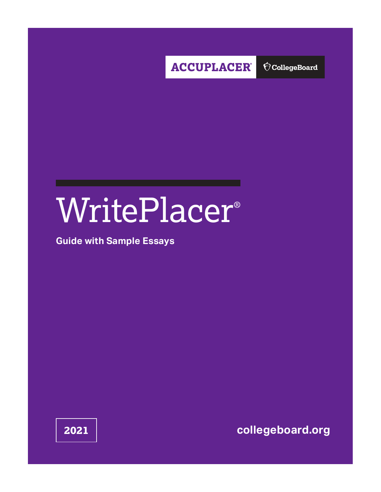

 $\bigcirc$  CollegeBoard

# WritePlacer®

# **Guide with Sample Essays**

**2021 [collegeboard.org](http://collegeboard.org)**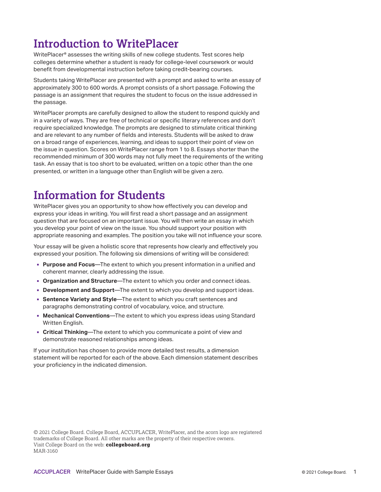# **Introduction to WritePlacer**

WritePlacer® assesses the writing skills of new college students. Test scores help colleges determine whether a student is ready for college-level coursework or would benefit from developmental instruction before taking credit-bearing courses.

Students taking WritePlacer are presented with a prompt and asked to write an essay of approximately 300 to 600 words. A prompt consists of a short passage. Following the passage is an assignment that requires the student to focus on the issue addressed in the passage.

WritePlacer prompts are carefully designed to allow the student to respond quickly and in a variety of ways. They are free of technical or specific literary references and don't require specialized knowledge. The prompts are designed to stimulate critical thinking and are relevant to any number of fields and interests. Students will be asked to draw on a broad range of experiences, learning, and ideas to support their point of view on the issue in question. Scores on WritePlacer range from 1 to 8. Essays shorter than the recommended minimum of 300 words may not fully meet the requirements of the writing task. An essay that is too short to be evaluated, written on a topic other than the one presented, or written in a language other than English will be given a zero.

# **Information for Students**

WritePlacer gives you an opportunity to show how effectively you can develop and express your ideas in writing. You will first read a short passage and an assignment question that are focused on an important issue. You will then write an essay in which you develop your point of view on the issue. You should support your position with appropriate reasoning and examples. The position you take will not influence your score.

Your essay will be given a holistic score that represents how clearly and effectively you expressed your position. The following six dimensions of writing will be considered:

- **Purpose and Focus**—The extent to which you present information in a unified and coherent manner, clearly addressing the issue.
- **Organization and Structure**—The extent to which you order and connect ideas.
- **Development and Support**—The extent to which you develop and support ideas.
- **Sentence Variety and Style—The extent to which you craft sentences and** paragraphs demonstrating control of vocabulary, voice, and structure.
- **Mechanical Conventions**—The extent to which you express ideas using Standard Written English.
- **Critical Thinking**—The extent to which you communicate a point of view and demonstrate reasoned relationships among ideas.

If your institution has chosen to provide more detailed test results, a dimension statement will be reported for each of the above. Each dimension statement describes your proficiency in the indicated dimension.

© 2021 College Board. College Board, ACCUPLACER, WritePlacer, and the acorn logo are registered trademarks of College Board. All other marks are the property of their respective owners. Visit College Board on the web: **[collegeboard.org](http://collegeboard.org/)** MAR-3160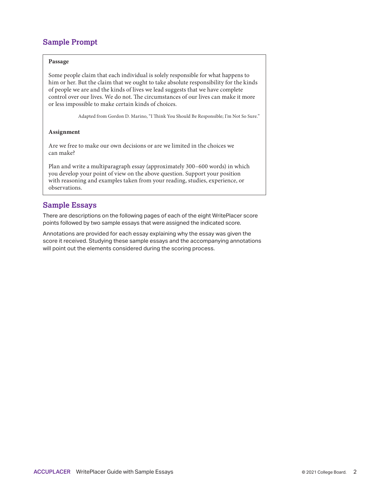# **Sample Prompt**

#### **Passage**

Some people claim that each individual is solely responsible for what happens to him or her. But the claim that we ought to take absolute responsibility for the kinds of people we are and the kinds of lives we lead suggests that we have complete control over our lives. We do not. The circumstances of our lives can make it more or less impossible to make certain kinds of choices.

Adapted from Gordon D. Marino, "I Think You Should Be Responsible; I'm Not So Sure."

#### **Assignment**

Are we free to make our own decisions or are we limited in the choices we can make?

Plan and write a multiparagraph essay (approximately 300–600 words) in which you develop your point of view on the above question. Support your position with reasoning and examples taken from your reading, studies, experience, or observations.

#### **Sample Essays**

There are descriptions on the following pages of each of the eight WritePlacer score points followed by two sample essays that were assigned the indicated score.

Annotations are provided for each essay explaining why the essay was given the score it received. Studying these sample essays and the accompanying annotations will point out the elements considered during the scoring process.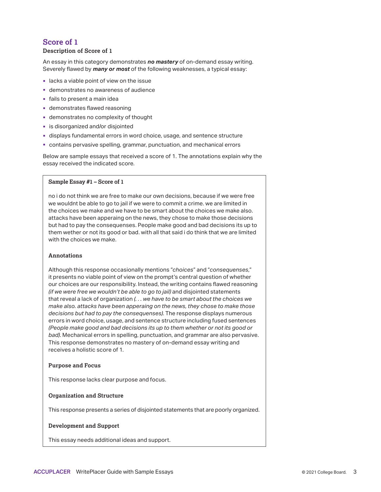#### **Description of Score of 1**

An essay in this category demonstrates *no mastery* of on-demand essay writing. Severely flawed by *many or most* of the following weaknesses, a typical essay:

- **I** lacks a viable point of view on the issue
- demonstrates no awareness of audience
- fails to present a main idea
- demonstrates flawed reasoning
- demonstrates no complexity of thought
- **is disorganized and/or disjointed**
- displays fundamental errors in word choice, usage, and sentence structure
- contains pervasive spelling, grammar, punctuation, and mechanical errors

Below are sample essays that received a score of 1. The annotations explain why the essay received the indicated score.

#### **Sample Essay #1 – Score of 1**

no i do not think we are free to make our own decisions, because if we were free we wouldnt be able to go to jail if we were to commit a crime. we are limited in the choices we make and we have to be smart about the choices we make also. attacks have been apperaing on the news, they chose to make those decisions but had to pay the consequenses. People make good and bad decisions its up to them wether or not its good or bad. with all that said i do think that we are limited with the choices we make.

#### **Annotations**

Although this response occasionally mentions "*choices*" and "*consequenses*," it presents no viable point of view on the prompt's central question of whether our choices are our responsibility. Instead, the writing contains flawed reasoning *(if we were free we wouldn't be able to go to jail)* and disjointed statements that reveal a lack of organization *(. . . we have to be smart about the choices we make also. attacks have been apperaing on the news, they chose to make those decisions but had to pay the consequenses)*. The response displays numerous errors in word choice, usage, and sentence structure including fused sentences *(People make good and bad decisions its up to them whether or not its good or bad)*. Mechanical errors in spelling, punctuation, and grammar are also pervasive. This response demonstrates no mastery of on-demand essay writing and receives a holistic score of 1.

#### **Purpose and Focus**

This response lacks clear purpose and focus.

#### **Organization and Structure**

This response presents a series of disjointed statements that are poorly organized.

#### **Development and Support**

This essay needs additional ideas and support.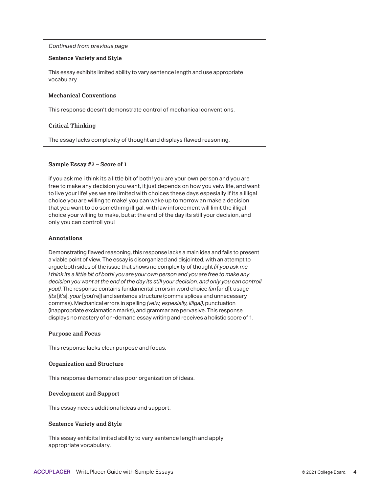#### **Sentence Variety and Style**

This essay exhibits limited ability to vary sentence length and use appropriate vocabulary.

#### **Mechanical Conventions**

This response doesn't demonstrate control of mechanical conventions.

#### **Critical Thinking**

The essay lacks complexity of thought and displays flawed reasoning.

#### **Sample Essay #2 – Score of 1**

if you ask me i think its a little bit of both! you are your own person and you are free to make any decision you want, it just depends on how you veiw life, and want to live your life! yes we are limited with choices these days espesially if its a illigal choice you are willing to make! you can wake up tomorrow an make a decision that you want to do somethimg illigal, with law inforcement will limit the illigal choice your willing to make, but at the end of the day its still your decision, and only you can controll you!

#### **Annotations**

Demonstrating flawed reasoning, this response lacks a main idea and fails to present a viable point of view. The essay is disorganized and disjointed, with an attempt to argue both sides of the issue that shows no complexity of thought *(if you ask me i think its a little bit of both! you are your own person and you are free to make any decision you want at the end of the day its still your decision, and only you can controll you!)*. The response contains fundamental errors in word choice *(an* [and]), usage *(its* [it's], *your* [you're]) and sentence structure (comma splices and unnecessary commas). Mechanical errors in spelling *(veiw, espesially, illigal)*, punctuation (inappropriate exclamation marks), and grammar are pervasive. This response displays no mastery of on-demand essay writing and receives a holistic score of 1.

#### **Purpose and Focus**

This response lacks clear purpose and focus.

#### **Organization and Structure**

This response demonstrates poor organization of ideas.

#### **Development and Support**

This essay needs additional ideas and support.

#### **Sentence Variety and Style**

This essay exhibits limited ability to vary sentence length and apply appropriate vocabulary.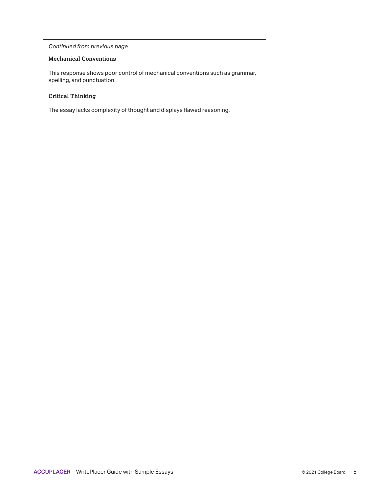#### **Mechanical Conventions**

This response shows poor control of mechanical conventions such as grammar, spelling, and punctuation.

#### **Critical Thinking**

The essay lacks complexity of thought and displays flawed reasoning.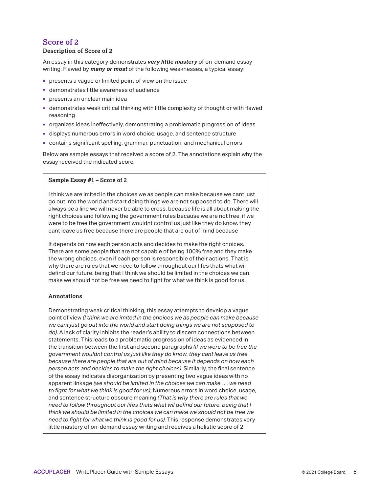#### **Description of Score of 2**

An essay in this category demonstrates *very little mastery* of on-demand essay writing. Flawed by *many or most* of the following weaknesses, a typical essay:

- presents a vague or limited point of view on the issue
- demonstrates little awareness of audience
- **presents an unclear main idea**
- demonstrates weak critical thinking with little complexity of thought or with flawed reasoning
- organizes ideas ineffectively, demonstrating a problematic progression of ideas
- displays numerous errors in word choice, usage, and sentence structure
- contains significant spelling, grammar, punctuation, and mechanical errors

Below are sample essays that received a score of 2. The annotations explain why the essay received the indicated score.

#### **Sample Essay #1 – Score of 2**

I think we are imited in the choices we as people can make because we cant just go out into the world and start doing things we are not supposed to do. There will always be a line we will never be able to cross. because life is all about making the right choices and following the government rules because we are not free, if we were to be free the government wouldnt control us just like they do know. they cant leave us free because there are people that are out of mind because

It depends on how each person acts and decides to make the right choices. There are some people that are not capable of being 100% free and they make the wrong choices. even if each person is responsible of their actions. That is why there are rules that we need to follow throughout our lifes thats what wil defind our future. being that I think we should be limited in the choices we can make we should not be free we need to fight for what we think is good for us.

#### **Annotations**

Demonstrating weak critical thinking, this essay attempts to develop a vague point of view *(I think we are imited in the choices we as people can make because we cant just go out into the world and start doing things we are not supposed to do)*. A lack of clarity inhibits the reader's ability to discern connections between statements. This leads to a problematic progression of ideas as evidenced in the transition between the first and second paragraphs *(if we were to be free the government wouldnt control us just like they do know. they cant leave us free because there are people that are out of mind because It depends on how each person acts and decides to make the right choices)*. Similarly, the final sentence of the essay indicates disorganization by presenting two vague ideas with no apparent linkage *(we should be limited in the choices we can make . . . we need to fight for what we think is good for us)*; Numerous errors in word choice, usage, and sentence structure obscure meaning *(That is why there are rules that we need to follow throughout our lifes thats what wil defind our future. being that I think we should be limited in the choices we can make we should not be free we need to fight for what we think is good for us)*. This response demonstrates very little mastery of on-demand essay writing and receives a holistic score of 2.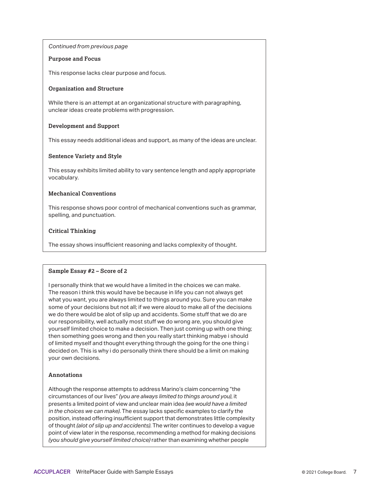#### **Purpose and Focus**

This response lacks clear purpose and focus.

#### **Organization and Structure**

While there is an attempt at an organizational structure with paragraphing, unclear ideas create problems with progression.

#### **Development and Support**

This essay needs additional ideas and support, as many of the ideas are unclear.

#### **Sentence Variety and Style**

This essay exhibits limited ability to vary sentence length and apply appropriate vocabulary.

#### **Mechanical Conventions**

This response shows poor control of mechanical conventions such as grammar, spelling, and punctuation.

#### **Critical Thinking**

The essay shows insufficient reasoning and lacks complexity of thought.

#### **Sample Essay #2 – Score of 2**

I personally think that we would have a limited in the choices we can make. The reason i think this would have be because in life you can not always get what you want, you are always limited to things around you. Sure you can make some of your decisions but not all; if we were aloud to make all of the decisions we do there would be alot of slip up and accidents. Some stuff that we do are our responsibility, well actually most stuff we do wrong are, you should give yourself limited choice to make a decision. Then just coming up with one thing; then something goes wrong and then you really start thinking mabye i should of limited myself and thought everything through the going for the one thing i decided on. This is why i do personally think there should be a limit on making your own decisions.

#### **Annotations**

Although the response attempts to address Marino's claim concerning "the circumstances of our lives" *(you are always limited to things around you)*, it presents a limited point of view and unclear main idea *(we would have a limited in the choices we can make)*. The essay lacks specific examples to clarify the position, instead offering insufficient support that demonstrates little complexity of thought *(alot of slip up and accidents)*. The writer continues to develop a vague point of view later in the response, recommending a method for making decisions *(you should give yourself limited choice)* rather than examining whether people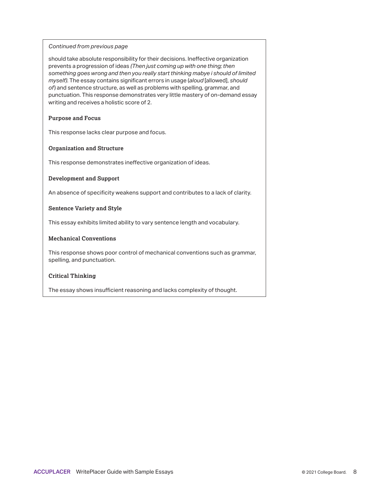should take absolute responsibility for their decisions. Ineffective organization prevents a progression of ideas *(Then just coming up with one thing; then something goes wrong and then you really start thinking mabye i should of limited myself)*. The essay contains significant errors in usage (*aloud* [allowed], *should of*) and sentence structure, as well as problems with spelling, grammar, and punctuation. This response demonstrates very little mastery of on-demand essay writing and receives a holistic score of 2.

#### **Purpose and Focus**

This response lacks clear purpose and focus.

#### **Organization and Structure**

This response demonstrates ineffective organization of ideas.

#### **Development and Support**

An absence of specificity weakens support and contributes to a lack of clarity.

#### **Sentence Variety and Style**

This essay exhibits limited ability to vary sentence length and vocabulary.

#### **Mechanical Conventions**

This response shows poor control of mechanical conventions such as grammar, spelling, and punctuation.

#### **Critical Thinking**

The essay shows insufficient reasoning and lacks complexity of thought.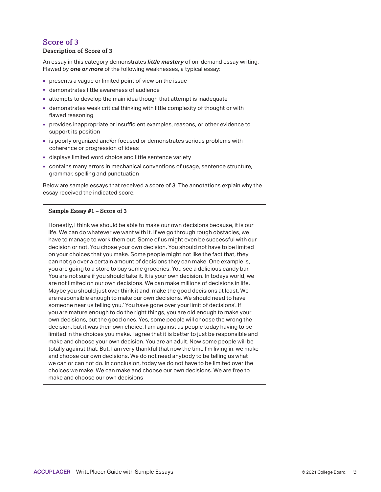#### **Description of Score of 3**

An essay in this category demonstrates *little mastery* of on-demand essay writing. Flawed by *one or more* of the following weaknesses, a typical essay:

- presents a vague or limited point of view on the issue
- demonstrates little awareness of audience
- attempts to develop the main idea though that attempt is inadequate
- demonstrates weak critical thinking with little complexity of thought or with flawed reasoning
- provides inappropriate or insufficient examples, reasons, or other evidence to support its position
- is poorly organized and/or focused or demonstrates serious problems with coherence or progression of ideas
- displays limited word choice and little sentence variety
- contains many errors in mechanical conventions of usage, sentence structure, grammar, spelling and punctuation

Below are sample essays that received a score of 3. The annotations explain why the essay received the indicated score.

#### **Sample Essay #1 – Score of 3**

Honestly, I think we should be able to make our own decisions because, it is our life. We can do whatever we want with it. If we go through rough obstacles, we have to manage to work them out. Some of us might even be successful with our decision or not. You chose your own decision. You should not have to be limited on your choices that you make. Some people might not like the fact that, they can not go over a certain amount of decisions they can make. One example is, you are going to a store to buy some groceries. You see a delicious candy bar. You are not sure if you should take it. It is your own decision. In todays world, we are not limited on our own decisions. We can make millions of decisions in life. Maybe you should just over think it and, make the good decisions at least. We are responsible enough to make our own decisions. We should need to have someone near us telling you,' You have gone over your limit of decisions'. If you are mature enough to do the right things, you are old enough to make your own decisions, but the good ones. Yes, some people will choose the wrong the decision, but it was their own choice. I am against us people today having to be limited in the choices you make. I agree that it is better to just be responsible and make and choose your own decision. You are an adult. Now some people will be totally against that. But, I am very thankful that now the time I'm living in, we make and choose our own decisions. We do not need anybody to be telling us what we can or can not do. In conclusion, today we do not have to be limited over the choices we make. We can make and choose our own decisions. We are free to make and choose our own decisions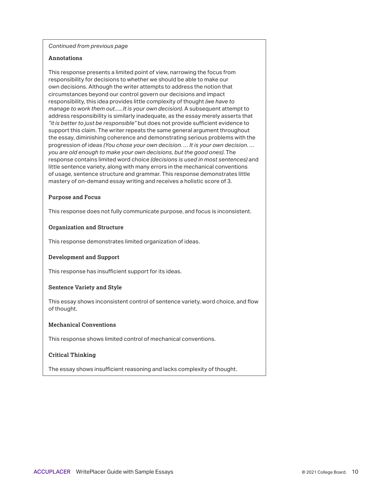#### **Annotations**

This response presents a limited point of view, narrowing the focus from responsibility for decisions to whether we should be able to make our own decisions. Although the writer attempts to address the notion that circumstances beyond our control govern our decisions and impact responsibility, this idea provides little complexity of thought *(we have to manage to work them out......It is your own decision)*. A subsequent attempt to address responsibility is similarly inadequate, as the essay merely asserts that *"it is better to just be responsible"* but does not provide sufficient evidence to support this claim. The writer repeats the same general argument throughout the essay, diminishing coherence and demonstrating serious problems with the progression of ideas *(You chose your own decision. … It is your own decision. … you are old enough to make your own decisions, but the good ones)*. The response contains limited word choice *(decisions is used in most sentences)* and little sentence variety, along with many errors in the mechanical conventions of usage, sentence structure and grammar. This response demonstrates little mastery of on-demand essay writing and receives a holistic score of 3.

#### **Purpose and Focus**

This response does not fully communicate purpose, and focus is inconsistent.

#### **Organization and Structure**

This response demonstrates limited organization of ideas.

#### **Development and Support**

This response has insufficient support for its ideas.

#### **Sentence Variety and Style**

This essay shows inconsistent control of sentence variety, word choice, and flow of thought.

#### **Mechanical Conventions**

This response shows limited control of mechanical conventions.

#### **Critical Thinking**

The essay shows insufficient reasoning and lacks complexity of thought.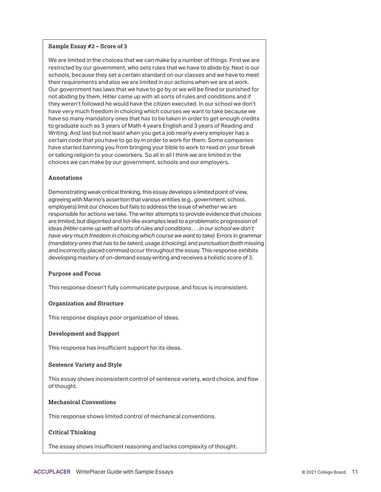#### **Sample Essay #2 – Score of 3**

We are limited in the choices that we can make by a number of things. First we are restricted by our government, who sets rules that we have to abide by. Next is our schools, because they set a certain standard on our classes and we have to meet their requirements and also we are limited in our actions when we are at work. Our government has laws that we have to go by or we will be fined or punished for not abiding by them. Hitler came up with all sorts of rules and conditions and if they weren't followed he would have the citizen executed. In our school we don't have very much freedom in choicing which courses we want to take because we have so many mandatory ones that has to be taken in order to get enough credits to graduate such as 3 years of Math 4 years English and 3 years of Reading and Writing. And last but not least when you get a job nearly every employer has a certain code that you have to go by in order to work for them. Some companies have started banning you from bringing your bible to work to read on your break or talking religion to your coworkers. So all in all I think we are limited in the choices we can make by our government, schools and our employers.

#### **Annotations**

Demonstrating weak critical thinking, this essay develops a limited point of view, agreeing with Marino's assertion that various entities (e.g., government, school, employers) limit our choices but fails to address the issue of whether we are responsible for actions we take. The writer attempts to provide evidence that choices are limited, but disjointed and list-like examples lead to a problematic progression of ideas *(Hitler came up with all sorts of rules and conditions . . . in our school we don't have very much freedom in choicing which course we want to take)*. Errors in grammar *(mandatory ones that has to be taken)*, usage *(choicing)*, and punctuation (both missing and incorrectly placed commas) occur throughout the essay. This response exhibits developing mastery of on-demand essay writing and receives a holistic score of 3.

#### **Purpose and Focus**

This response doesn't fully communicate purpose, and focus is inconsistent.

#### **Organization and Structure**

This response displays poor organization of ideas.

#### **Development and Support**

This response has insufficient support for its ideas.

#### **Sentence Variety and Style**

This essay shows inconsistent control of sentence variety, word choice, and flow of thought.

#### **Mechanical Conventions**

This response shows limited control of mechanical conventions.

#### **Critical Thinking**

The essay shows insufficient reasoning and lacks complexity of thought.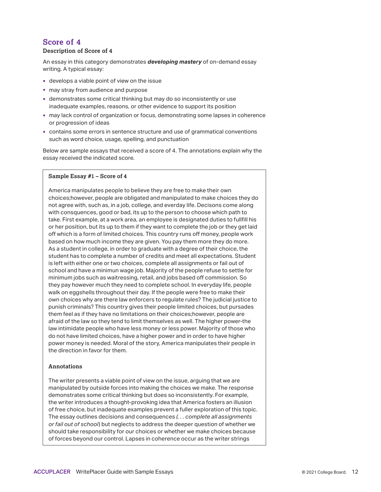#### **Description of Score of 4**

An essay in this category demonstrates *developing mastery* of on-demand essay writing. A typical essay:

- develops a viable point of view on the issue
- may stray from audience and purpose
- demonstrates some critical thinking but may do so inconsistently or use inadequate examples, reasons, or other evidence to support its position
- may lack control of organization or focus, demonstrating some lapses in coherence or progression of ideas
- contains some errors in sentence structure and use of grammatical conventions such as word choice, usage, spelling, and punctuation

Below are sample essays that received a score of 4. The annotations explain why the essay received the indicated score.

#### **Sample Essay #1 – Score of 4**

America manipulates people to believe they are free to make their own choices;however, people are obligated and manipulated to make choices they do not agree with, such as, in a job, college, and everday life. Decisons come along with consquences, good or bad, its up to the person to choose which path to take. First example, at a work area, an employee is designated duties to fullfill his or her position, but its up to them if they want to complete the job or they get laid off which is a form of limited choices. This country runs off money, people work based on how much income they are given. You pay them more they do more. As a student in college, in order to graduate with a degree of their choice, the student has to complete a number of credits and meet all expectations. Student is left with either one or two choices, complete all assignments or fail out of school and have a minimun wage job. Majority of the people refuse to settle for minimum jobs such as waitressing, retail, and jobs based off commission. So they pay however much they need to complete school. In everyday life, people walk on eggshells throughout their day. If the people were free to make their own choices why are there law enforcers to regulate rules? The judicial justice to punish criminals? This country gives their people limited choices, but pursades them feel as if they have no limitations on their choices;however, people are afraid of the law so they tend to limit themselves as well. The higher power-the law intimidate people who have less money or less power. Majority of those who do not have limited choices, have a higher power and in order to have higher power money is needed. Moral of the story, America manipulates their people in the direction in favor for them.

#### **Annotations**

The writer presents a viable point of view on the issue, arguing that we are manipulated by outside forces into making the choices we make. The response demonstrates some critical thinking but does so inconsistently. For example, the writer introduces a thought-provoking idea that America fosters an illusion of free choice, but inadequate examples prevent a fuller exploration of this topic. The essay outlines decisions and consequences *(. . . complete all assignments or fail out of school*) but neglects to address the deeper question of whether we should take responsibility for our choices or whether we make choices because of forces beyond our control. Lapses in coherence occur as the writer strings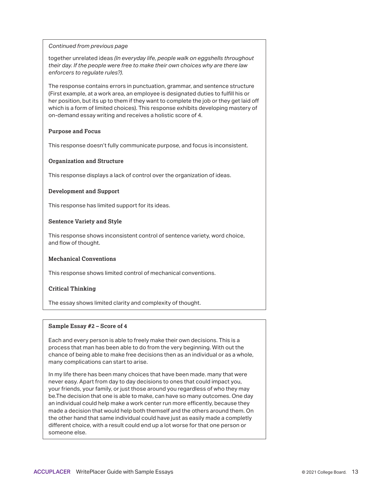together unrelated ideas *(In everyday life, people walk on eggshells throughout their day. If the people were free to make their own choices why are there law enforcers to regulate rules?)*.

The response contains errors in punctuation, grammar, and sentence structure (First example, at a work area, an employee is designated duties to fulfill his or her position, but its up to them if they want to complete the job or they get laid off which is a form of limited choices). This response exhibits developing mastery of on-demand essay writing and receives a holistic score of 4.

#### **Purpose and Focus**

This response doesn't fully communicate purpose, and focus is inconsistent.

#### **Organization and Structure**

This response displays a lack of control over the organization of ideas.

#### **Development and Support**

This response has limited support for its ideas.

#### **Sentence Variety and Style**

This response shows inconsistent control of sentence variety, word choice, and flow of thought.

#### **Mechanical Conventions**

This response shows limited control of mechanical conventions.

#### **Critical Thinking**

The essay shows limited clarity and complexity of thought.

#### **Sample Essay #2 – Score of 4**

Each and every person is able to freely make their own decisions. This is a process that man has been able to do from the very beginning. With out the chance of being able to make free decisions then as an individual or as a whole, many complications can start to arise.

In my life there has been many choices that have been made. many that were never easy. Apart from day to day decisions to ones that could impact you, your friends, your family, or just those around you regardless of who they may be.The decision that one is able to make, can have so many outcomes. One day an individual could help make a work center run more efficently, because they made a decision that would help both themself and the others around them. On the other hand that same individual could have just as easily made a completly different choice, with a result could end up a lot worse for that one person or someone else.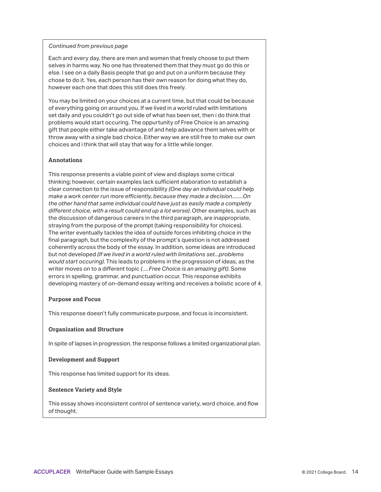Each and every day, there are men and women that freely choose to put them selves in harms way. No one has threatened them that they must go do this or else. I see on a daily Basis people that go and put on a uniform because they chose to do it. Yes, each person has their own reason for doing what they do, however each one that does this still does this freely.

You may be limited on your choices at a current time, but that could be because of everything going on around you. If we lived in a world ruled with limitations set daily and you couldn't go out side of what has been set, then i do think that problems would start occuring. The oppurtunity of Free Choice is an amazing gift that people either take advantage of and help adavance them selves with or throw away with a single bad choice. Either way we are still free to make our own choices and i think that will stay that way for a little while longer.

#### **Annotations**

This response presents a viable point of view and displays some critical thinking; however, certain examples lack sufficient elaboration to establish a clear connection to the issue of responsibility *(One day an individual could help make a work center run more efficiently, because they made a decision........On the other hand that same individual could have just as easily made a completly different choice, with a result could end up a lot worse)*. Other examples, such as the discussion of dangerous careers in the third paragraph, are inappropriate, straying from the purpose of the prompt (taking responsibility for choices). The writer eventually tackles the idea of outside forces inhibiting choice in the final paragraph, but the complexity of the prompt's question is not addressed coherently across the body of the essay. In addition, some ideas are introduced but not developed *(If we lived in a world ruled with limitations set...problems would start occuring)*. This leads to problems in the progression of ideas, as the writer moves on to a different topic *( ....Free Choice is an amazing gift)*. Some errors in spelling, grammar, and punctuation occur. This response exhibits developing mastery of on-demand essay writing and receives a holistic score of 4.

#### **Purpose and Focus**

This response doesn't fully communicate purpose, and focus is inconsistent.

#### **Organization and Structure**

In spite of lapses in progression, the response follows a limited organizational plan.

#### **Development and Support**

This response has limited support for its ideas.

#### **Sentence Variety and Style**

This essay shows inconsistent control of sentence variety, word choice, and flow of thought.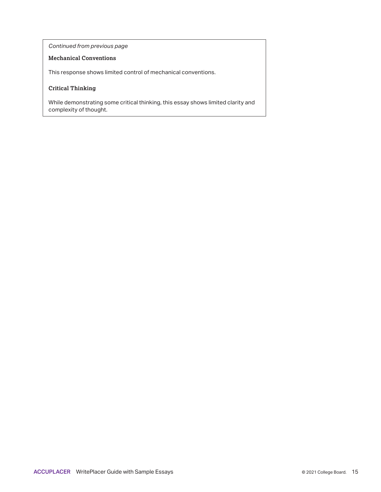#### **Mechanical Conventions**

This response shows limited control of mechanical conventions.

#### **Critical Thinking**

While demonstrating some critical thinking, this essay shows limited clarity and complexity of thought.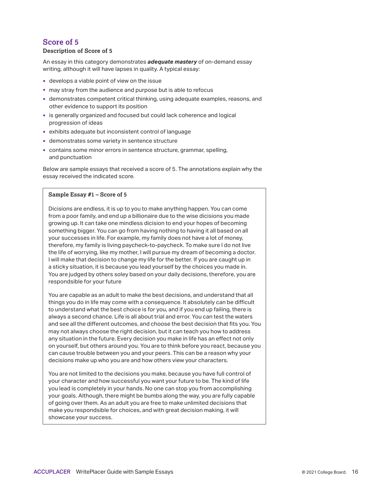#### **Description of Score of 5**

An essay in this category demonstrates *adequate mastery* of on-demand essay writing, although it will have lapses in quality. A typical essay:

- develops a viable point of view on the issue
- may stray from the audience and purpose but is able to refocus
- demonstrates competent critical thinking, using adequate examples, reasons, and other evidence to support its position
- is generally organized and focused but could lack coherence and logical progression of ideas
- exhibits adequate but inconsistent control of language
- demonstrates some variety in sentence structure
- contains some minor errors in sentence structure, grammar, spelling, and punctuation

Below are sample essays that received a score of 5. The annotations explain why the essay received the indicated score.

#### **Sample Essay #1 – Score of 5**

Dicisions are endless, it is up to you to make anything happen. You can come from a poor family, and end up a billionaire due to the wise dicisions you made growing up. It can take one mindless dicision to end your hopes of becoming something bigger. You can go from having nothing to having it all based on all your successes in life. For example, my family does not have a lot of money, therefore, my family is living paycheck-to-paycheck. To make sure I do not live the life of worrying, like my mother, I will pursue my dream of becoming a doctor. I will make that decision to change my life for the better. If you are caught up in a sticky situation, it is because you lead yourself by the choices you made in. You are judged by others soley based on your daily decisions, therefore, you are respondsible for your future

You are capable as an adult to make the best decisions, and understand that all things you do in life may come with a consequence. It absolutely can be difficult to understand what the best choice is for you, and if you end up failing, there is always a second chance. Life is all about trial and error. You can test the waters and see all the different outcomes, and choose the best decision that fits you. You may not always choose the right decision, but it can teach you how to address any situation in the future. Every decision you make in life has an effect not only on yourself, but others around you. You are to think before you react, because you can cause trouble between you and your peers. This can be a reason why your decisions make up who you are and how others view your characters.

You are not limited to the decisions you make, because you have full control of your character and how successful you want your future to be. The kind of life you lead is completely in your hands. No one can stop you from accomplishing your goals. Although, there might be bumbs along the way, you are fully capable of going over them. As an adult you are free to make unlimited decisions that make you respondsible for choices, and with great decision making, it will showcase your success.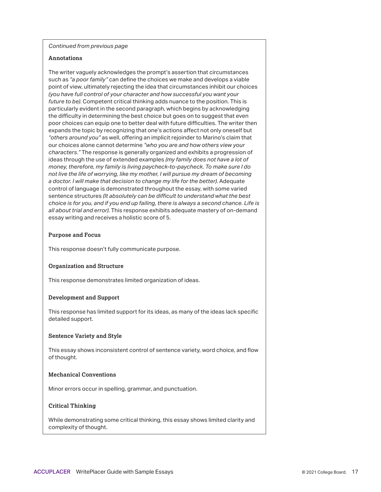#### **Annotations**

The writer vaguely acknowledges the prompt's assertion that circumstances such as *"a poor family"* can define the choices we make and develops a viable point of view, ultimately rejecting the idea that circumstances inhibit our choices *(you have full control of your character and how successful you want your future to be)*. Competent critical thinking adds nuance to the position. This is particularly evident in the second paragraph, which begins by acknowledging the difficulty in determining the best choice but goes on to suggest that even poor choices can equip one to better deal with future difficulties. The writer then expands the topic by recognizing that one's actions affect not only oneself but *"others around you"* as well, offering an implicit rejoinder to Marino's claim that our choices alone cannot determine *"who you are and how others view your characters."* The response is generally organized and exhibits a progression of ideas through the use of extended examples *(my family does not have a lot of money, therefore, my family is living paycheck-to-paycheck. To make sure I do not live the life of worrying, like my mother, I will pursue my dream of becoming a doctor. I will make that decision to change my life for the better)*. Adequate control of language is demonstrated throughout the essay, with some varied sentence structures *(It absolutely can be difficult to understand what the best choice is for you, and if you end up failing, there is always a second chance. Life is all about trial and error)*. This response exhibits adequate mastery of on-demand essay writing and receives a holistic score of 5.

#### **Purpose and Focus**

This response doesn't fully communicate purpose.

#### **Organization and Structure**

This response demonstrates limited organization of ideas.

#### **Development and Support**

This response has limited support for its ideas, as many of the ideas lack specific detailed support.

#### **Sentence Variety and Style**

This essay shows inconsistent control of sentence variety, word choice, and flow of thought.

#### **Mechanical Conventions**

Minor errors occur in spelling, grammar, and punctuation.

#### **Critical Thinking**

While demonstrating some critical thinking, this essay shows limited clarity and complexity of thought.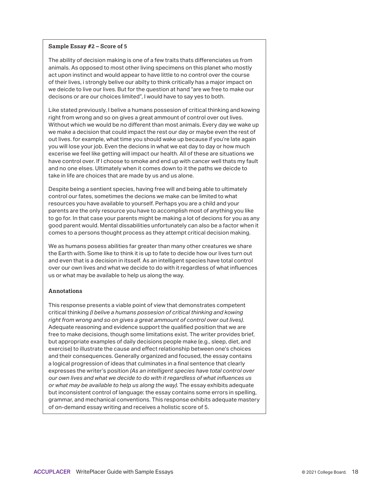#### **Sample Essay #2 – Score of 5**

The ability of decision making is one of a few traits thats differenciates us from animals. As opposed to most other living specimens on this planet who mostly act upon instinct and would appear to have little to no control over the course of their lives, i strongly belive our abilty to think critically has a major impact on we deicde to live our lives. But for the question at hand "are we free to make our decisons or are our choices limited", I would have to say yes to both.

Like stated previously, I belive a humans possesion of critical thinking and kowing right from wrong and so on gives a great ammount of control over out lives. Without which we would be no different than most animals. Every day we wake up we make a decision that could impact the rest our day or maybe even the rest of out lives. for example, what time you should wake up because if you're late again you will lose your job. Even the decions in what we eat day to day or how much excerise we feel like getting will impact our health. All of these are situations we have control over. If I choose to smoke and end up with cancer well thats my fault and no one elses. Ultimately when it comes down to it the paths we deicde to take in life are choices that are made by us and us alone.

Despite being a sentient species, having free will and being able to ultimately control our fates, sometimes the decions we make can be limited to what resources you have available to yourself. Perhaps you are a child and your parents are the only resource you have to accomplish most of anything you like to go for. In that case your parents might be making a lot of decions for you as any good parent would. Mental dissabilities unfortunately can also be a factor when it comes to a persons thought process as they attempt critical decision making.

We as humans posess abilities far greater than many other creatures we share the Earth with. Some like to think it is up to fate to decide how our lives turn out and even that is a decision in itsself. As an intelligent species have total control over our own lives and what we decide to do with it regardless of what influences us or what may be available to help us along the way.

#### **Annotations**

This response presents a viable point of view that demonstrates competent critical thinking *(I belive a humans possesion of critical thinking and kowing right from wrong and so on gives a great ammount of control over out lives)*. Adequate reasoning and evidence support the qualified position that we are free to make decisions, though some limitations exist. The writer provides brief, but appropriate examples of daily decisions people make (e.g., sleep, diet, and exercise) to illustrate the cause and effect relationship between one's choices and their consequences. Generally organized and focused, the essay contains a logical progression of ideas that culminates in a final sentence that clearly expresses the writer's position *(As an intelligent species have total control over our own lives and what we decide to do with it regardless of what influences us or what may be available to help us along the way)*. The essay exhibits adequate but inconsistent control of language: the essay contains some errors in spelling, grammar, and mechanical conventions. This response exhibits adequate mastery of on-demand essay writing and receives a holistic score of 5.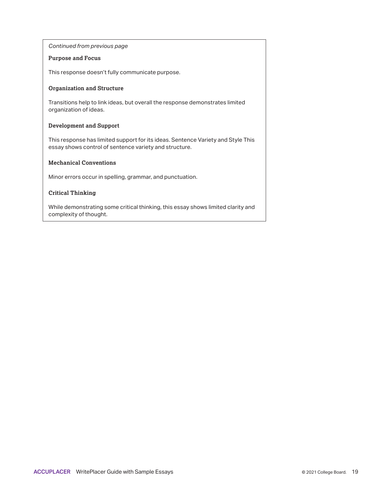#### **Purpose and Focus**

This response doesn't fully communicate purpose.

#### **Organization and Structure**

Transitions help to link ideas, but overall the response demonstrates limited organization of ideas.

#### **Development and Support**

This response has limited support for its ideas. Sentence Variety and Style This essay shows control of sentence variety and structure.

#### **Mechanical Conventions**

Minor errors occur in spelling, grammar, and punctuation.

#### **Critical Thinking**

While demonstrating some critical thinking, this essay shows limited clarity and complexity of thought.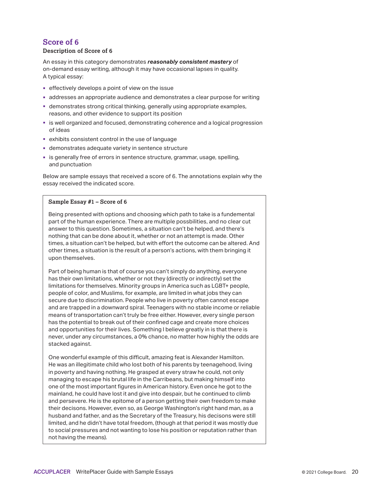#### **Description of Score of 6**

An essay in this category demonstrates *reasonably consistent mastery* of on-demand essay writing, although it may have occasional lapses in quality. A typical essay:

- effectively develops a point of view on the issue
- addresses an appropriate audience and demonstrates a clear purpose for writing
- demonstrates strong critical thinking, generally using appropriate examples, reasons, and other evidence to support its position
- **Example 3** is well organized and focused, demonstrating coherence and a logical progression of ideas
- exhibits consistent control in the use of language
- demonstrates adequate variety in sentence structure
- **is generally free of errors in sentence structure, grammar, usage, spelling,** and punctuation

Below are sample essays that received a score of 6. The annotations explain why the essay received the indicated score.

#### **Sample Essay #1 – Score of 6**

Being presented with options and choosing which path to take is a fundemental part of the human experience. There are multiple possbilities, and no clear cut answer to this question. Sometimes, a situation can't be helped, and there's nothing that can be done about it, whether or not an attempt is made. Other times, a situation can't be helped, but with effort the outcome can be altered. And other times, a situation is the result of a person's actions, with them bringing it upon themselves.

Part of being human is that of course you can't simply do anything, everyone has their own limitations, whether or not they (directly or indirectly) set the limitations for themselves. Minority groups in America such as LGBT+ people, people of color, and Muslims, for example, are limited in what jobs they can secure due to discrimination. People who live in poverty often cannot escape and are trapped in a downward spiral. Teenagers with no stable income or reliable means of transportation can't truly be free either. However, every single person has the potential to break out of their confined cage and create more choices and opportunities for their lives. Something I believe greatly in is that there is never, under any circumstances, a 0% chance, no matter how highly the odds are stacked against.

One wonderful example of this difficult, amazing feat is Alexander Hamilton. He was an illegitimate child who lost both of his parents by teenagehood, living in poverty and having nothing. He grasped at every straw he could, not only managing to escape his brutal life in the Carribeans, but making himself into one of the most important figures in American history. Even once he got to the mainland, he could have lost it and give into despair, but he continued to climb and persevere. He is the epitome of a person getting their own freedom to make their decisons. However, even so, as George Washington's right hand man, as a husband and father, and as the Secretary of the Treasury, his decisons were still limited, and he didn't have total freedom, (though at that period it was mostly due to social pressures and not wanting to lose his position or reputation rather than not having the means).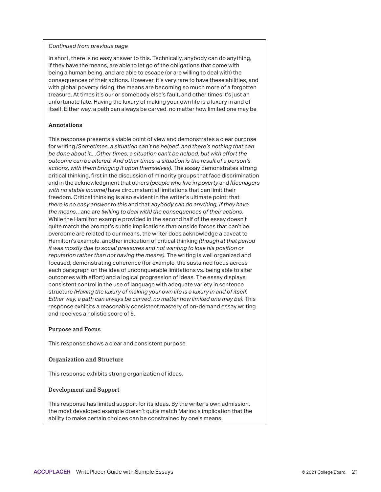In short, there is no easy answer to this. Technically, anybody can do anything, if they have the means, are able to let go of the obligations that come with being a human being, and are able to escape (or are willing to deal with) the consequences of their actions. However, it's very rare to have these abilities, and with global poverty rising, the means are becoming so much more of a forgotten treasure. At times it's our or somebody else's fault, and other times it's just an unfortunate fate. Having the luxury of making your own life is a luxury in and of itself. Either way, a path can always be carved, no matter how limited one may be

#### **Annotations**

This response presents a viable point of view and demonstrates a clear purpose for writing *(Sometimes, a situation can't be helped, and there's nothing that can be done about it....Other times, a situation can't be helped, but with effort the outcome can be altered. And other times, a situation is the result of a person's actions, with them bringing it upon themselves)*. The essay demonstrates strong critical thinking, first in the discussion of minority groups that face discrimination and in the acknowledgment that others *(people who live in poverty* and *[t]eenagers with no stable income)* have circumstantial limitations that can limit their freedom. Critical thinking is also evident in the writer's ultimate point: that *there is no easy answer to this* and that *anybody can do anything, if they have the means*…and are *(willing to deal with) the consequences of their actions*. While the Hamilton example provided in the second half of the essay doesn't quite match the prompt's subtle implications that outside forces that can't be overcome are related to our means, the writer does acknowledge a caveat to Hamilton's example, another indication of critical thinking *(though at that period it was mostly due to social pressures and not wanting to lose his position or reputation rather than not having the means)*. The writing is well organized and focused, demonstrating coherence (for example, the sustained focus across each paragraph on the idea of unconquerable limitations vs. being able to alter outcomes with effort) and a logical progression of ideas. The essay displays consistent control in the use of language with adequate variety in sentence structure *(Having the luxury of making your own life is a luxury in and of itself. Either way, a path can always be carved, no matter how limited one may be)*. This response exhibits a reasonably consistent mastery of on-demand essay writing and receives a holistic score of 6.

#### **Purpose and Focus**

This response shows a clear and consistent purpose.

#### **Organization and Structure**

This response exhibits strong organization of ideas.

#### **Development and Support**

This response has limited support for its ideas. By the writer's own admission, the most developed example doesn't quite match Marino's implication that the ability to make certain choices can be constrained by one's means.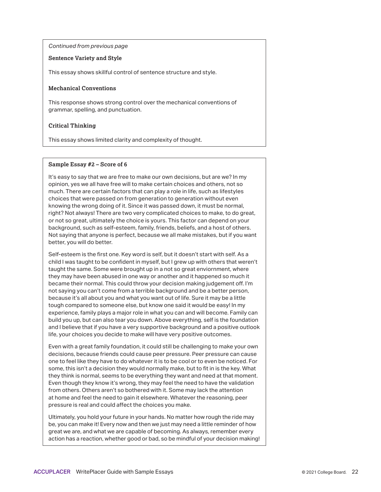#### **Sentence Variety and Style**

This essay shows skillful control of sentence structure and style.

#### **Mechanical Conventions**

This response shows strong control over the mechanical conventions of grammar, spelling, and punctuation.

#### **Critical Thinking**

This essay shows limited clarity and complexity of thought.

#### **Sample Essay #2 – Score of 6**

It's easy to say that we are free to make our own decisions, but are we? In my opinion, yes we all have free will to make certain choices and others, not so much. There are certain factors that can play a role in life, such as lifestyles choices that were passed on from generation to generation without even knowing the wrong doing of it. Since it was passed down, it must be normal, right? Not always! There are two very complicated choices to make, to do great, or not so great, ultimately the choice is yours. This factor can depend on your background, such as self-esteem, family, friends, beliefs, and a host of others. Not saying that anyone is perfect, because we all make mistakes, but if you want better, you will do better.

Self-esteem is the first one. Key word is self, but it doesn't start with self. As a child I was taught to be confident in myself, but I grew up with others that weren't taught the same. Some were brought up in a not so great enviornment, where they may have been abused in one way or another and it happened so much it became their normal. This could throw your decision making judgement off. I'm not saying you can't come from a terrible background and be a better person, because it's all about you and what you want out of life. Sure it may be a little tough compared to someone else, but know one said it would be easy! In my experience, family plays a major role in what you can and will become. Family can build you up, but can also tear you down. Above everything, self is the foundation and I believe that if you have a very supportive background and a positive outlook life, your choices you decide to make will have very positive outcomes.

Even with a great family foundation, it could still be challenging to make your own decisions, because friends could cause peer pressure. Peer pressure can cause one to feel like they have to do whatever it is to be cool or to even be noticed. For some, this isn't a decision they would normally make, but to fit in is the key. What they think is normal, seems to be everything they want and need at that moment. Even though they know it's wrong, they may feel the need to have the validation from others. Others aren't so bothered with it. Some may lack the attention at home and feel the need to gain it elsewhere. Whatever the reasoning, peer pressure is real and could affect the choices you make.

Ultimately, you hold your future in your hands. No matter how rough the ride may be, you can make it! Every now and then we just may need a little reminder of how great we are, and what we are capable of becoming. As always, remember every action has a reaction, whether good or bad, so be mindful of your decision making!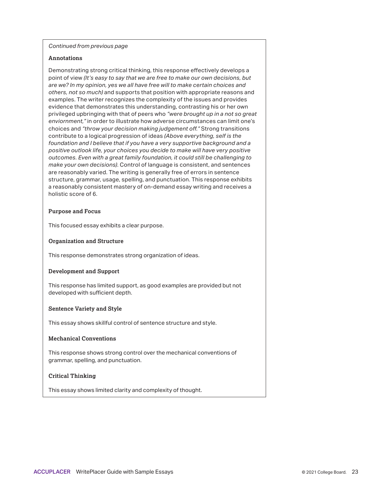#### **Annotations**

Demonstrating strong critical thinking, this response effectively develops a point of view *(It's easy to say that we are free to make our own decisions, but are we? In my opinion, yes we all have free will to make certain choices and others, not so much)* and supports that position with appropriate reasons and examples. The writer recognizes the complexity of the issues and provides evidence that demonstrates this understanding, contrasting his or her own privileged upbringing with that of peers who *"were brought up in a not so great enviornment,"* in order to illustrate how adverse circumstances can limit one's choices and *"throw your decision making judgement off."* Strong transitions contribute to a logical progression of ideas *(Above everything, self is the foundation and I believe that if you have a very supportive background and a positive outlook life, your choices you decide to make will have very positive outcomes. Even with a great family foundation, it could still be challenging to make your own decisions)*. Control of language is consistent, and sentences are reasonably varied. The writing is generally free of errors in sentence structure, grammar, usage, spelling, and punctuation. This response exhibits a reasonably consistent mastery of on-demand essay writing and receives a holistic score of 6.

#### **Purpose and Focus**

This focused essay exhibits a clear purpose.

#### **Organization and Structure**

This response demonstrates strong organization of ideas.

#### **Development and Support**

This response has limited support, as good examples are provided but not developed with sufficient depth.

#### **Sentence Variety and Style**

This essay shows skillful control of sentence structure and style.

#### **Mechanical Conventions**

This response shows strong control over the mechanical conventions of grammar, spelling, and punctuation.

#### **Critical Thinking**

This essay shows limited clarity and complexity of thought.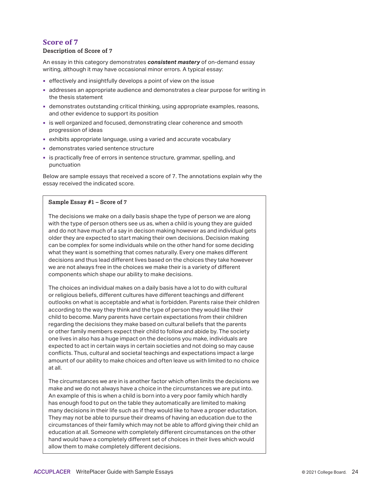#### **Description of Score of 7**

An essay in this category demonstrates *consistent mastery* of on-demand essay writing, although it may have occasional minor errors. A typical essay:

- effectively and insightfully develops a point of view on the issue
- addresses an appropriate audience and demonstrates a clear purpose for writing in the thesis statement
- demonstrates outstanding critical thinking, using appropriate examples, reasons, and other evidence to support its position
- **is well organized and focused, demonstrating clear coherence and smooth** progression of ideas
- exhibits appropriate language, using a varied and accurate vocabulary
- demonstrates varied sentence structure
- is practically free of errors in sentence structure, grammar, spelling, and punctuation

Below are sample essays that received a score of 7. The annotations explain why the essay received the indicated score.

#### **Sample Essay #1 – Score of 7**

The decisions we make on a daily basis shape the type of person we are along with the type of person others see us as, when a child is young they are guided and do not have much of a say in decison making however as and individual gets older they are expected to start making their own decisions. Decision making can be complex for some individuals while on the other hand for some deciding what they want is something that comes naturally. Every one makes different decisions and thus lead different lives based on the choices they take however we are not always free in the choices we make their is a variety of different components which shape our ability to make decisions.

The choices an individual makes on a daily basis have a lot to do with cultural or religious beliefs, different cultures have different teachings and different outlooks on what is acceptable and what is forbidden. Parents raise their children according to the way they think and the type of person they would like their child to become. Many parents have certain expectations from their children regarding the decisions they make based on cultural beliefs that the parents or other family members expect their child to follow and abide by. The society one lives in also has a huge impact on the decisons you make, individuals are expected to act in certain ways in certain societies and not doing so may cause conflicts. Thus, cultural and societal teachings and expectations impact a large amount of our ability to make choices and often leave us with limited to no choice at all.

The circumstances we are in is another factor which often limits the decisions we make and we do not always have a choice in the circumstances we are put into. An example of this is when a child is born into a very poor family which hardly has enough food to put on the table they automatically are limited to making many decisions in their life such as if they would like to have a proper eductation. They may not be able to pursue their dreams of having an education due to the circumstances of their family which may not be able to afford giving their child an education at all. Someone with completely different circumstances on the other hand would have a completely different set of choices in their lives which would allow them to make completely different decisions.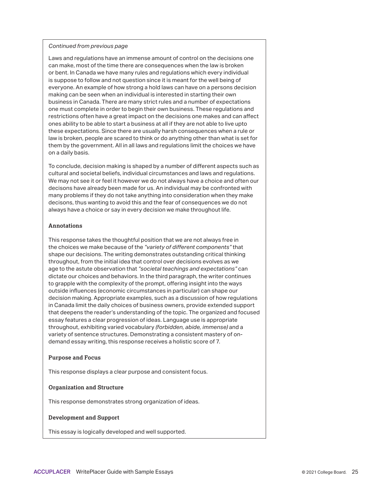Laws and regulations have an immense amount of control on the decisions one can make, most of the time there are consequences when the law is broken or bent. In Canada we have many rules and regulations which every individual is suppose to follow and not question since it is meant for the well being of everyone. An example of how strong a hold laws can have on a persons decision making can be seen when an individual is interested in starting their own business in Canada. There are many strict rules and a number of expectations one must complete in order to begin their own business. These regulations and restrictions often have a great impact on the decisions one makes and can affect ones ability to be able to start a business at all if they are not able to live upto these expectations. Since there are usually harsh consequences when a rule or law is broken, people are scared to think or do anything other than what is set for them by the government. All in all laws and regulations limit the choices we have on a daily basis.

To conclude, decision making is shaped by a number of different aspects such as cultural and societal beliefs, individual circumstances and laws and regulations. We may not see it or feel it however we do not always have a choice and often our decisons have already been made for us. An individual may be confronted with many problems if they do not take anything into consideration when they make decisons, thus wanting to avoid this and the fear of consequences we do not always have a choice or say in every decision we make throughout life.

#### **Annotations**

This response takes the thoughtful position that we are not always free in the choices we make because of the *"variety of different components"* that shape our decisions. The writing demonstrates outstanding critical thinking throughout, from the initial idea that control over decisions evolves as we age to the astute observation that *"societal teachings and expectations"* can dictate our choices and behaviors. In the third paragraph, the writer continues to grapple with the complexity of the prompt, offering insight into the ways outside influences (economic circumstances in particular) can shape our decision making. Appropriate examples, such as a discussion of how regulations in Canada limit the daily choices of business owners, provide extended support that deepens the reader's understanding of the topic. The organized and focused essay features a clear progression of ideas. Language use is appropriate throughout, exhibiting varied vocabulary *(forbidden, abide, immense)* and a variety of sentence structures. Demonstrating a consistent mastery of ondemand essay writing, this response receives a holistic score of 7.

#### **Purpose and Focus**

This response displays a clear purpose and consistent focus.

#### **Organization and Structure**

This response demonstrates strong organization of ideas.

#### **Development and Support**

This essay is logically developed and well supported.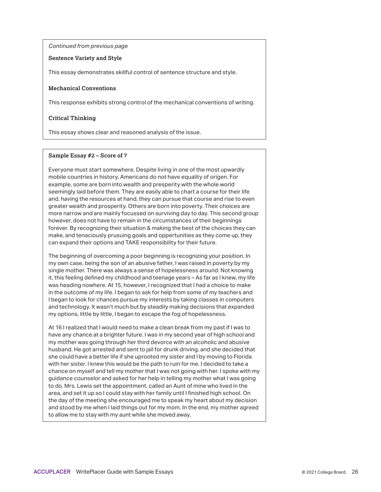#### **Sentence Variety and Style**

This essay demonstrates skillful control of sentence structure and style.

#### **Mechanical Conventions**

This response exhibits strong control of the mechanical conventions of writing.

#### **Critical Thinking**

This essay shows clear and reasoned analysis of the issue.

#### **Sample Essay #2 – Score of 7**

Everyone must start somewhere. Despite living in one of the most upwardly mobile countries in history, Americans do not have equality of origen. For example, some are born into wealth and presperity with the whole world seemingly laid before them. They are easily able to chart a course for their life and, having the resources at hand, they can pursue that course and rise to even greater wealth and prosperity. Others are born into poverty. Their choices are more narrow and are mainly focussed on surviving day to day. This second group however, does not have to remain in the circumstances of their beginnings forever. By recognizing their situation & making the best of the choices they can make, and tenaciously prusuing goals and oppertunities as they come up, they can expand their options and TAKE responsibility for their future.

The beginning of overcoming a poor beginning is recognizing your position. In my own case, being the son of an abusive father, I was raised in poverty by my single mother. There was always a sense of hopelessness around. Not knowing it, this feeling defined my childhood and teenage years – As far as I knew, my life was heading nowhere. At 15, however, I recognized that I had a choice to make in the outcome of my life. I began to ask for help from some of my teachers and I began to look for chances pursue my interests by taking classes in computers and technology. It wasn't much but by steadily making decisions that expanded my options, little by little, I began to escape the fog of hopelessness.

At 16 I realized that I would need to make a clean break from my past if I was to have any chance at a brighter future. I was in my second year of high school and my mother was going through her third devorce with an alcoholic and abusive husband. He got arrested and sent to jail for drunk driving, and she decided that she could have a better life if she uprooted my sister and I by moving to Florida with her sister. I knew this would be the path to ruin for me. I decided to take a chance on myself and tell my mother that I was not going with her. I spoke with my guidance counselor and asked for her help in telling my mother what I was going to do. Mrs. Lewis set the appointment, called an Aunt of mine who lived in the area, and set it up so I could stay with her family until I finished high school. On the day of the meeting she encouraged me to speak my heart about my decision and stood by me when I laid things out for my mom. In the end, my mother agreed to allow me to stay with my aunt while she moved away.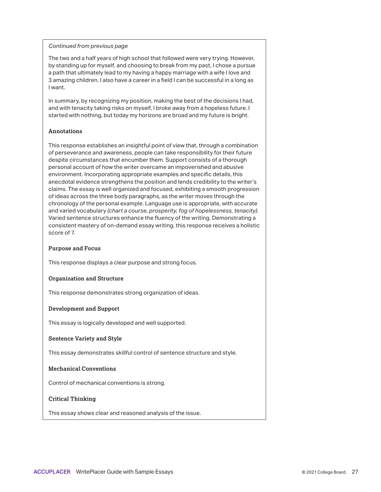The two and a half years of high school that followed were very trying. However, by standing up for myself, and choosing to break from my past, I chose a pursue a path that ultimately lead to my having a happy marriage with a wife I love and 3 amazing children. I also have a career in a field I can be successful in a long as I want.

In summary, by recognizing my position, making the best of the decisions I had, and with tenacity taking risks on myself, I broke away from a hopeless future. I started with nothing, but today my horizons are broad and my future is bright.

#### **Annotations**

This response establishes an insightful point of view that, through a combination of perseverance and awareness, people can take responsibility for their future despite circumstances that encumber them. Support consists of a thorough personal account of how the writer overcame an impoverished and abusive environment. Incorporating appropriate examples and specific details, this anecdotal evidence strengthens the position and lends credibility to the writer's claims. The essay is well organized and focused, exhibiting a smooth progression of ideas across the three body paragraphs, as the writer moves through the chronology of the personal example. Language use is appropriate, with accurate and varied vocabulary *(chart a course, prosperity, fog of hopelessness, tenacity)*. Varied sentence structures enhance the fluency of the writing. Demonstrating a consistent mastery of on-demand essay writing, this response receives a holistic score of 7.

#### **Purpose and Focus**

This response displays a clear purpose and strong focus.

#### **Organization and Structure**

This response demonstrates strong organization of ideas.

#### **Development and Support**

This essay is logically developed and well supported.

#### **Sentence Variety and Style**

This essay demonstrates skillful control of sentence structure and style.

#### **Mechanical Conventions**

Control of mechanical conventions is strong.

#### **Critical Thinking**

This essay shows clear and reasoned analysis of the issue.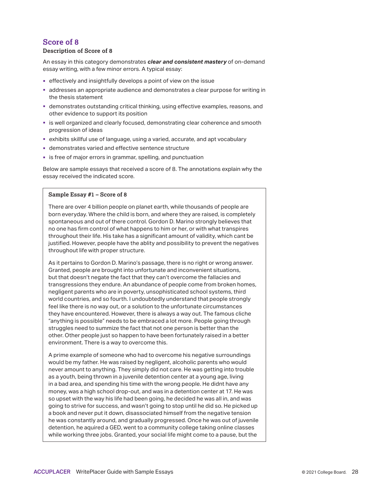#### **Description of Score of 8**

An essay in this category demonstrates *clear and consistent mastery* of on-demand essay writing, with a few minor errors. A typical essay:

- effectively and insightfully develops a point of view on the issue
- addresses an appropriate audience and demonstrates a clear purpose for writing in the thesis statement
- demonstrates outstanding critical thinking, using effective examples, reasons, and other evidence to support its position
- **Example 2** is well organized and clearly focused, demonstrating clear coherence and smooth progression of ideas
- exhibits skillful use of language, using a varied, accurate, and apt vocabulary
- demonstrates varied and effective sentence structure
- **is free of major errors in grammar, spelling, and punctuation**

Below are sample essays that received a score of 8. The annotations explain why the essay received the indicated score.

#### **Sample Essay #1 – Score of 8**

There are over 4 billion people on planet earth, while thousands of people are born everyday. Where the child is born, and where they are raised, is completely spontaneous and out of there control. Gordon D. Marino strongly believes that no one has firm control of what happens to him or her, or with what transpires throughout their life. His take has a significant amount of validity, which cant be justified. However, people have the ablity and possibility to prevent the negatives throughout life with proper structure.

As it pertains to Gordon D. Marino's passage, there is no right or wrong answer. Granted, people are brought into unfortunate and inconvenient situations, but that doesn't negate the fact that they can't overcome the fallacies and transgressions they endure. An abundance of people come from broken homes, negligent parents who are in poverty, unsophisticated school systems, third world countries, and so fourth. I undoubtedly understand that people strongly feel like there is no way out, or a solution to the unfortunate circumstances they have encountered. However, there is always a way out. The famous cliche "anything is possible" needs to be embraced a lot more. People going through struggles need to summize the fact that not one person is better than the other. Other people just so happen to have been fortunately raised in a better environment. There is a way to overcome this.

A prime example of someone who had to overcome his negative surroundings would be my father. He was raised by negligent, alcoholic parents who would never amount to anything. They simply did not care. He was getting into trouble as a youth, being thrown in a juvenile detention center at a young age, living in a bad area, and spending his time with the wrong people. He didnt have any money, was a high school drop-out, and was in a detention center at 17. He was so upset with the way his life had been going, he decided he was all in, and was going to strive for success, and wasn't going to stop until he did so. He picked up a book and never put it down, disassociated himself from the negative tension he was constantly around, and gradually progressed. Once he was out of juvenile detention, he aquired a GED, went to a community college taking online classes while working three jobs. Granted, your social life might come to a pause, but the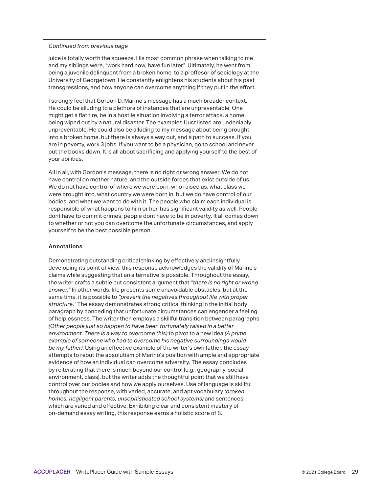juice is totally worth the squeeze. His most common phrase when talking to me and my siblings were, "work hard now, have fun later". Ultimately, he went from being a juvenile delinquent from a broken home, to a proffesor of sociology at the University of Georgetown. He constantly enlightens his students about his past transgressions, and how anyone can overcome anything if they put in the effort.

I strongly feel that Gordon D. Marino's message has a much broader context. He could be alluding to a plethora of instances that are unpreventable. One might get a flat tire, be in a hostile situation involving a terror attack, a home being wiped out by a natural disaster. The examples I just listed are undeniably unpreventable. He could also be alluding to my message about being brought into a broken home, but there is always a way out, and a path to success. If you are in poverty, work 3 jobs. If you want to be a physician, go to school and never put the books down. It is all about sacrificing and applying yourself to the best of your abilities.

All in all, with Gordon's message, there is no right or wrong answer. We do not have control on mother nature, and the outside forces that exist outside of us. We do not have control of where we were born, who raised us, what class we were brought into, what country we were born in, but we do have control of our bodies, and what we want to do with it. The people who claim each individual is responsible of what happens to him or her, has significant validity as well. People dont have to commit crimes, people dont have to be in poverty. It all comes down to whether or not you can overcome the unfortunate circumstances, and apply yourself to be the best possible person.

#### **Annotations**

Demonstrating outstanding critical thinking by effectively and insightfully developing its point of view, this response acknowledges the validity of Marino's claims while suggesting that an alternative is possible. Throughout the essay, the writer crafts a subtle but consistent argument that *"there is no right or wrong answer."* In other words, life presents some unavoidable obstacles, but at the same time, it is possible to *"prevent the negatives throughout life with proper structure."* The essay demonstrates strong critical thinking in the initial body paragraph by conceding that unfortunate circumstances can engender a feeling of helplessness. The writer then employs a skillful transition between paragraphs *(Other people just so happen to have been fortunately raised in a better environment. There is a way to overcome this)* to pivot to a new idea *(A prime example of someone who had to overcome his negative surroundings would be my father)*. Using an effective example of the writer's own father, the essay attempts to rebut the absolutism of Marino's position with ample and appropriate evidence of how an individual can overcome adversity. The essay concludes by reiterating that there is much beyond our control (e.g., geography, social environment, class), but the writer adds the thoughtful point that we still have control over our bodies and how we apply ourselves. Use of language is skillful throughout the response, with varied, accurate, and apt vocabulary *(broken homes, negligent parents, unsophisticated school systems)* and sentences which are varied and effective. Exhibiting clear and consistent mastery of on-demand essay writing, this response earns a holistic score of 8.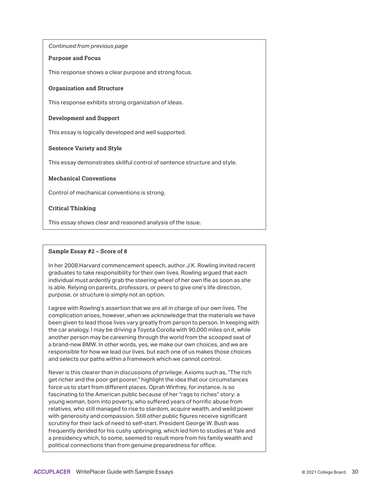#### **Purpose and Focus**

This response shows a clear purpose and strong focus.

#### **Organization and Structure**

This response exhibits strong organization of ideas.

#### **Development and Support**

This essay is logically developed and well supported.

#### **Sentence Variety and Style**

This essay demonstrates skillful control of sentence structure and style.

#### **Mechanical Conventions**

Control of mechanical conventions is strong.

#### **Critical Thinking**

This essay shows clear and reasoned analysis of the issue.

#### **Sample Essay #2 – Score of 8**

In her 2008 Harvard commencement speech, author J.K. Rowling invited recent graduates to take responsibility for their own lives. Rowling argued that each individual must ardently grab the steering wheel of her own lfie as soon as she is able. Relying on parents, professors, or peers to give one's life direction, purpose, or structure is simply not an option.

I agree with Rowling's assertion that we are all in charge of our own lives. The complication arises, however, when we acknowledge that the materials we have been given to lead those lives vary greatly from person to person. In keeping with the car analogy, I may be driving a Toyota Corolla with 90,000 miles on it, while another person may be careening through the world from the scooped seat of a brand-new BMW. In other words, yes, we make our own choices, and we are responsible for how we lead our lives, but each one of us makes those choices and selects our paths within a framework which we cannot control.

Never is this clearer than in discussions of privilege. Axioms such as, "The rich get richer and the poor get poorer," highlight the idea that our circumstances force us to start from different places. Oprah Winfrey, for instance, is so fascinating to the American public because of her "rags to riches" story: a young woman, born into poverty, who suffered years of horrific abuse from relatives, who still managed to rise to stardom, acquire wealth, and weild power with generosity and compassion. Still other public figures receive significant scrutiny for their lack of need to self-start. President George W. Bush was frequently derided for his cushy upbringing, which led him to studies at Yale and a presidency which, to some, seemed to result more from his family wealth and political connections than from genuine preparedness for office.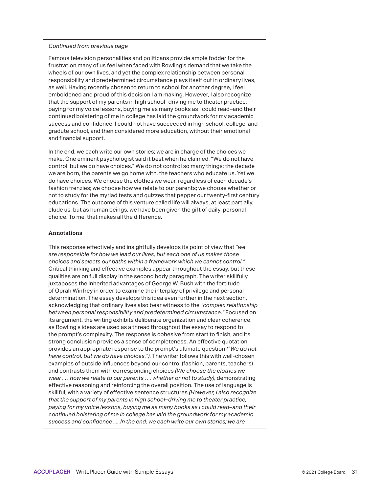Famous television personalities and politicans provide ample fodder for the frustration many of us feel when faced with Rowling's demand that we take the wheels of our own lives, and yet the complex relationship between personal responsibility and predetermined circumstance plays itself out in ordinary lives, as well. Having recently chosen to return to school for another degree, I feel emboldened and proud of this decision I am making. However, I also recognize that the support of my parents in high school–driving me to theater practice, paying for my voice lessons, buying me as many books as I could read–and their continued bolstering of me in college has laid the groundwork for my academic success and confidence. I could not have succeeded in high school, college, and gradute school, and then considered more education, without their emotional and financial support.

In the end, we each write our own stories; we are in charge of the choices we make. One eminent psychologist said it best when he claimed, "We do not have control, but we do have choices." We do not control so many things: the decade we are born, the parents we go home with, the teachers who educate us. Yet we do have choices. We choose the clothes we wear, regardless of each decade's fashion frenzies; we choose how we relate to our parents; we choose whether or not to study for the myriad tests and quizzes that pepper our twenty-first century educations. The outcome of this venture called life will always, at least partially, elude us, but as human beings, we have been given the gift of daily, personal choice. To me, that makes all the difference.

#### **Annotations**

This response effectively and insightfully develops its point of view that *"we are responsible for how we lead our lives, but each one of us makes those choices and selects our paths within a framework which we cannot control."*  Critical thinking and effective examples appear throughout the essay, but these qualities are on full display in the second body paragraph. The writer skillfully juxtaposes the inherited advantages of George W. Bush with the fortitude of Oprah Winfrey in order to examine the interplay of privilege and personal determination. The essay develops this idea even further in the next section, acknowledging that ordinary lives also bear witness to the *"complex relationship between personal responsibility and predetermined circumstance."* Focused on its argument, the writing exhibits deliberate organization and clear coherence, as Rowling's ideas are used as a thread throughout the essay to respond to the prompt's complexity. The response is cohesive from start to finish, and its strong conclusion provides a sense of completeness. An effective quotation provides an appropriate response to the prompt's ultimate question *("We do not have control, but we do have choices.")*. The writer follows this with well-chosen examples of outside influences beyond our control (fashion, parents, teachers) and contrasts them with corresponding choices *(We choose the clothes we wear . . . how we relate to our parents . . . whether or not to study)*, demonstrating effective reasoning and reinforcing the overall position. The use of language is skillful, with a variety of effective sentence structures *(However, I also recognize that the support of my parents in high school–driving me to theater practice, paying for my voice lessons, buying me as many books as I could read–and their continued bolstering of me in college has laid the groundwork for my academic success and confidence .....In the end, we each write our own stories; we are*